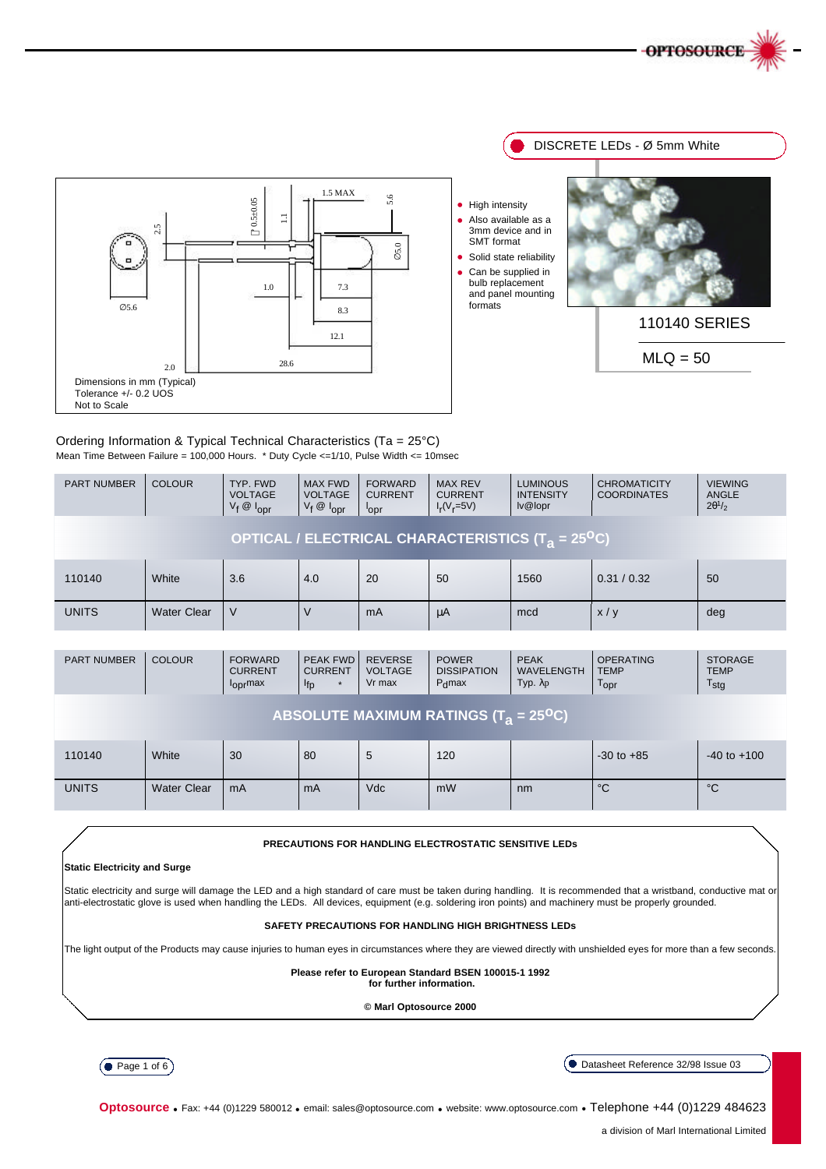

DISCRETE LEDs - Ø 5mm White



#### Ordering Information & Typical Technical Characteristics (Ta = 25°C) Mean Time Between Failure = 100,000 Hours. \* Duty Cycle <=1/10, Pulse Width <= 10msec

| <b>PART NUMBER</b>                                                        | <b>COLOUR</b>      | TYP. FWD<br><b>VOLTAGE</b><br>$V_f$ $\otimes$ $I_{\text{opr}}$ | <b>MAX FWD</b><br><b>VOLTAGE</b><br>$V_f \otimes I_{OPT}$ | <b>FORWARD</b><br><b>CURRENT</b><br>l <sub>opr</sub> | <b>MAX REV</b><br><b>CURRENT</b><br>$I_r(V_r=5V)$ | <b>LUMINOUS</b><br><b>INTENSITY</b><br>$I\vee \mathcal{Q}$ lopr | <b>CHROMATICITY</b><br><b>COORDINATES</b> | <b>VIEWING</b><br><b>ANGLE</b><br>$2\theta^1/2$ |  |
|---------------------------------------------------------------------------|--------------------|----------------------------------------------------------------|-----------------------------------------------------------|------------------------------------------------------|---------------------------------------------------|-----------------------------------------------------------------|-------------------------------------------|-------------------------------------------------|--|
| OPTICAL / ELECTRICAL CHARACTERISTICS (T <sub>a</sub> = 25 <sup>o</sup> C) |                    |                                                                |                                                           |                                                      |                                                   |                                                                 |                                           |                                                 |  |
| 110140                                                                    | White              | 3.6                                                            | 4.0                                                       | 20                                                   | 50                                                | 1560                                                            | 0.31 / 0.32                               | 50                                              |  |
| <b>UNITS</b>                                                              | <b>Water Clear</b> | V                                                              | V                                                         | mA                                                   | μA                                                | mcd                                                             | x/y                                       | deg                                             |  |

| <b>PART NUMBER</b>                                               | <b>COLOUR</b>      | <b>FORWARD</b><br><b>CURRENT</b><br>l <sub>opr</sub> max | <b>PEAK FWD</b><br><b>CURRENT</b><br><sup>l</sup> fp<br>$\star$ | <b>REVERSE</b><br><b>VOLTAGE</b><br>Vr max | <b>POWER</b><br><b>DISSIPATION</b><br>P <sub>d</sub> max | <b>PEAK</b><br><b>WAVELENGTH</b><br>Typ. $λ$ p | <b>OPERATING</b><br><b>TEMP</b><br>$\mathsf{T}_{\mathsf{OPT}}$ | <b>STORAGE</b><br><b>TEMP</b><br>$T_{\text{stg}}$ |  |
|------------------------------------------------------------------|--------------------|----------------------------------------------------------|-----------------------------------------------------------------|--------------------------------------------|----------------------------------------------------------|------------------------------------------------|----------------------------------------------------------------|---------------------------------------------------|--|
| <b>ABSOLUTE MAXIMUM RATINGS <math>(T_a = 25^{\circ}C)</math></b> |                    |                                                          |                                                                 |                                            |                                                          |                                                |                                                                |                                                   |  |
| 110140                                                           | White              | 30                                                       | 80                                                              | 5                                          | 120                                                      |                                                | $-30$ to $+85$                                                 | $-40$ to $+100$                                   |  |
| <b>UNITS</b>                                                     | <b>Water Clear</b> | mA                                                       | mA                                                              | <b>Vdc</b>                                 | mW                                                       | nm                                             | $^{\circ}C$                                                    | $^{\circ}C$                                       |  |

#### **PRECAUTIONS FOR HANDLING ELECTROSTATIC SENSITIVE LEDs**

#### **Static Electricity and Surge**

Static electricity and surge will damage the LED and a high standard of care must be taken during handling. It is recommended that a wristband, conductive mat or anti-electrostatic glove is used when handling the LEDs. All devices, equipment (e.g. soldering iron points) and machinery must be properly grounded.

#### **SAFETY PRECAUTIONS FOR HANDLING HIGH BRIGHTNESS LEDs**

The light output of the Products may cause injuries to human eyes in circumstances where they are viewed directly with unshielded eyes for more than a few seconds.

#### **Please refer to European Standard BSEN 100015-1 1992**

**for further information.**

**© Marl Optosource 2000**



Datasheet Reference 32/98 Issue 03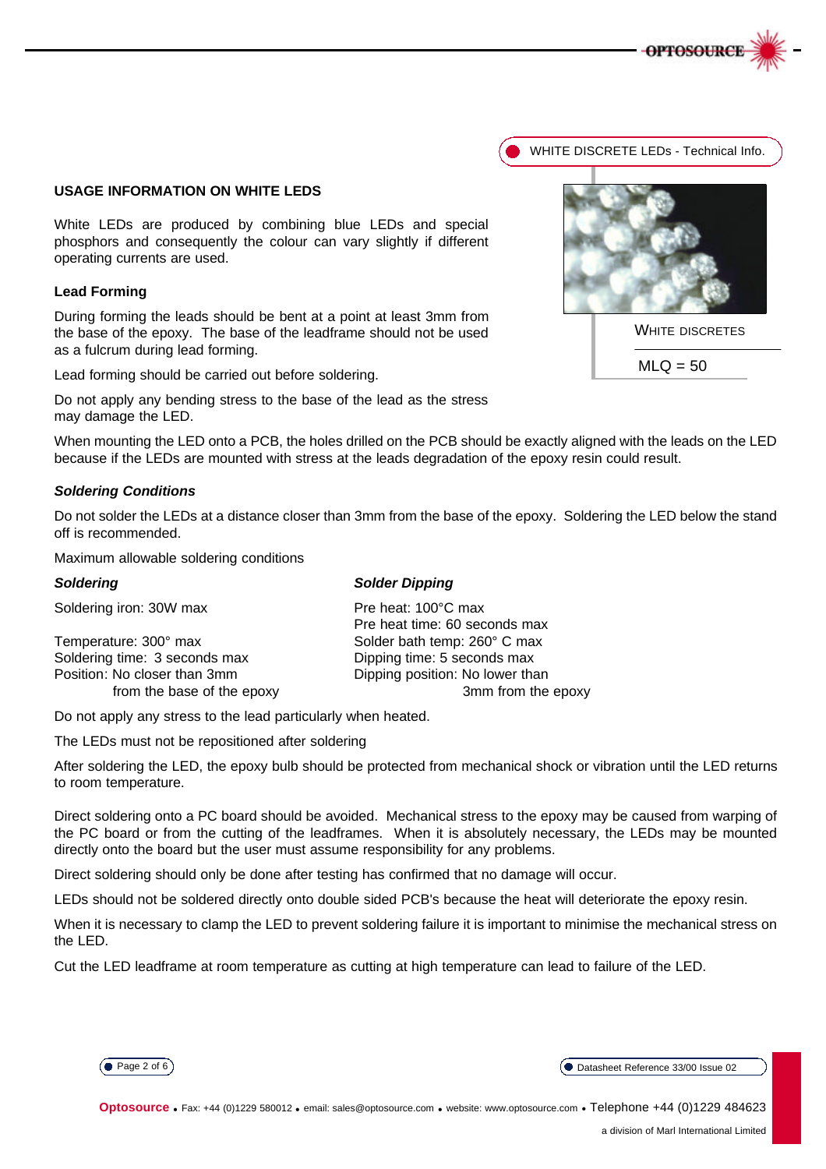

### **USAGE INFORMATION ON WHITE LEDS**

White LEDs are produced by combining blue LEDs and special phosphors and consequently the colour can vary slightly if different operating currents are used.

### **Lead Forming**

During forming the leads should be bent at a point at least 3mm from the base of the epoxy. The base of the leadframe should not be used as a fulcrum during lead forming.

Lead forming should be carried out before soldering.

Do not apply any bending stress to the base of the lead as the stress may damage the LED.

When mounting the LED onto a PCB, the holes drilled on the PCB should be exactly aligned with the leads on the LED because if the LEDs are mounted with stress at the leads degradation of the epoxy resin could result.

### *Soldering Conditions*

Do not solder the LEDs at a distance closer than 3mm from the base of the epoxy. Soldering the LED below the stand off is recommended.

Maximum allowable soldering conditions

| Soldering                     | <b>Solder Dipping</b>           |  |  |  |  |
|-------------------------------|---------------------------------|--|--|--|--|
| Soldering iron: 30W max       | Pre heat: 100°C max             |  |  |  |  |
|                               | Pre heat time: 60 seconds max   |  |  |  |  |
| Temperature: 300° max         | Solder bath temp: 260° C max    |  |  |  |  |
| Soldering time: 3 seconds max | Dipping time: 5 seconds max     |  |  |  |  |
| Position: No closer than 3mm  | Dipping position: No lower than |  |  |  |  |
| from the base of the epoxy    | 3mm from the epoxy              |  |  |  |  |
|                               |                                 |  |  |  |  |

Do not apply any stress to the lead particularly when heated.

The LEDs must not be repositioned after soldering

After soldering the LED, the epoxy bulb should be protected from mechanical shock or vibration until the LED returns to room temperature.

Direct soldering onto a PC board should be avoided. Mechanical stress to the epoxy may be caused from warping of the PC board or from the cutting of the leadframes. When it is absolutely necessary, the LEDs may be mounted directly onto the board but the user must assume responsibility for any problems.

Direct soldering should only be done after testing has confirmed that no damage will occur.

LEDs should not be soldered directly onto double sided PCB's because the heat will deteriorate the epoxy resin.

When it is necessary to clamp the LED to prevent soldering failure it is important to minimise the mechanical stress on the LED.

Cut the LED leadframe at room temperature as cutting at high temperature can lead to failure of the LED.



Page 2 of 6 Datasheet Reference 33/00 Issue 02

**Optosource** • Fax: +44 (0)1229 580012 • email: sales@optosource.com • website: www.optosource.com • Telephone +44 (0)1229 484623



WHITE DISCRETE LEDs - Technical Info.



 $MLQ = 50$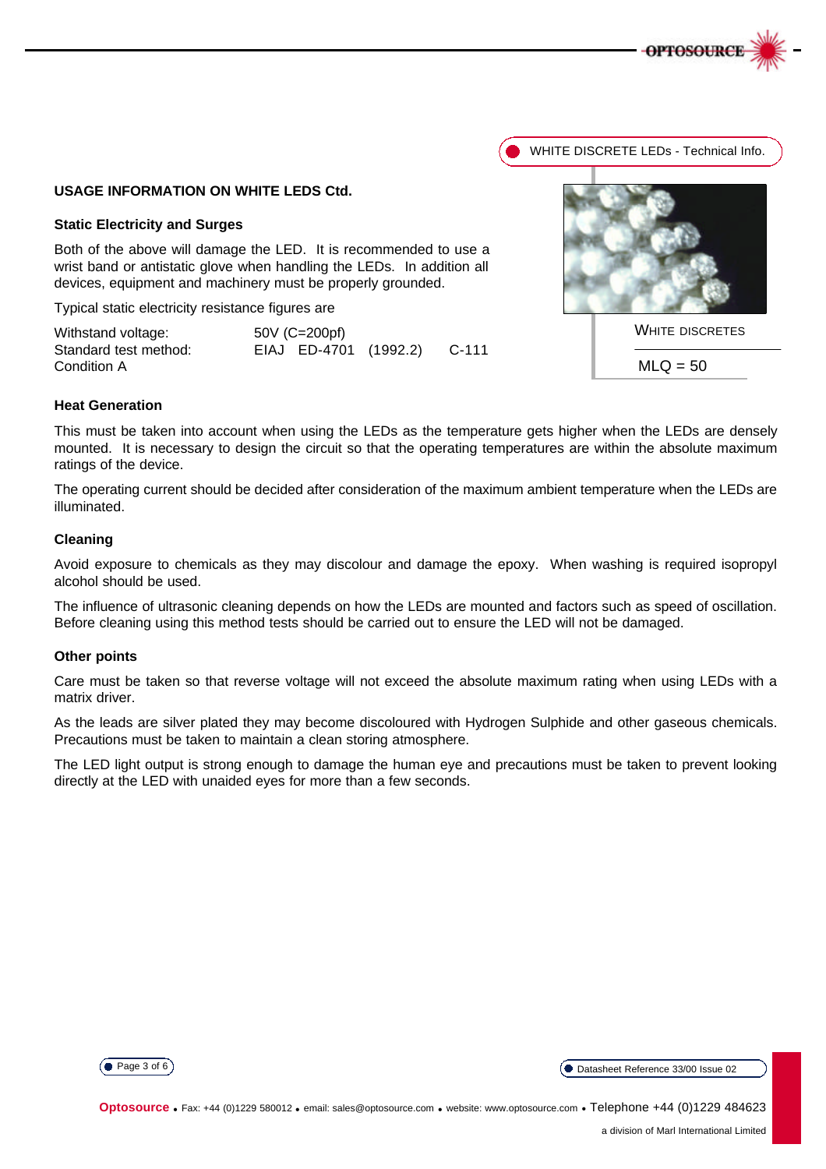



### **USAGE INFORMATION ON WHITE LEDS Ctd.**

#### **Static Electricity and Surges**

Both of the above will damage the LED. It is recommended to use a wrist band or antistatic glove when handling the LEDs. In addition all devices, equipment and machinery must be properly grounded.

Typical static electricity resistance figures are

| Withstand voltage:    | 50V (C=200pf) |                       |  |       |  |
|-----------------------|---------------|-----------------------|--|-------|--|
| Standard test method: |               | EIAJ ED-4701 (1992.2) |  | C-111 |  |
| Condition A           |               |                       |  |       |  |

### **Heat Generation**

This must be taken into account when using the LEDs as the temperature gets higher when the LEDs are densely mounted. It is necessary to design the circuit so that the operating temperatures are within the absolute maximum ratings of the device.

The operating current should be decided after consideration of the maximum ambient temperature when the LEDs are illuminated.

## **Cleaning**

Avoid exposure to chemicals as they may discolour and damage the epoxy. When washing is required isopropyl alcohol should be used.

The influence of ultrasonic cleaning depends on how the LEDs are mounted and factors such as speed of oscillation. Before cleaning using this method tests should be carried out to ensure the LED will not be damaged.

#### **Other points**

Care must be taken so that reverse voltage will not exceed the absolute maximum rating when using LEDs with a matrix driver.

As the leads are silver plated they may become discoloured with Hydrogen Sulphide and other gaseous chemicals. Precautions must be taken to maintain a clean storing atmosphere.

The LED light output is strong enough to damage the human eye and precautions must be taken to prevent looking directly at the LED with unaided eyes for more than a few seconds.

(● Page 3 of 6) (● Datasheet Reference 33/00 Issue 02

**Optosource** • Fax: +44 (0)1229 580012 • email: sales@optosource.com • website: www.optosource.com • Telephone +44 (0)1229 484623





 $MLQ = 50$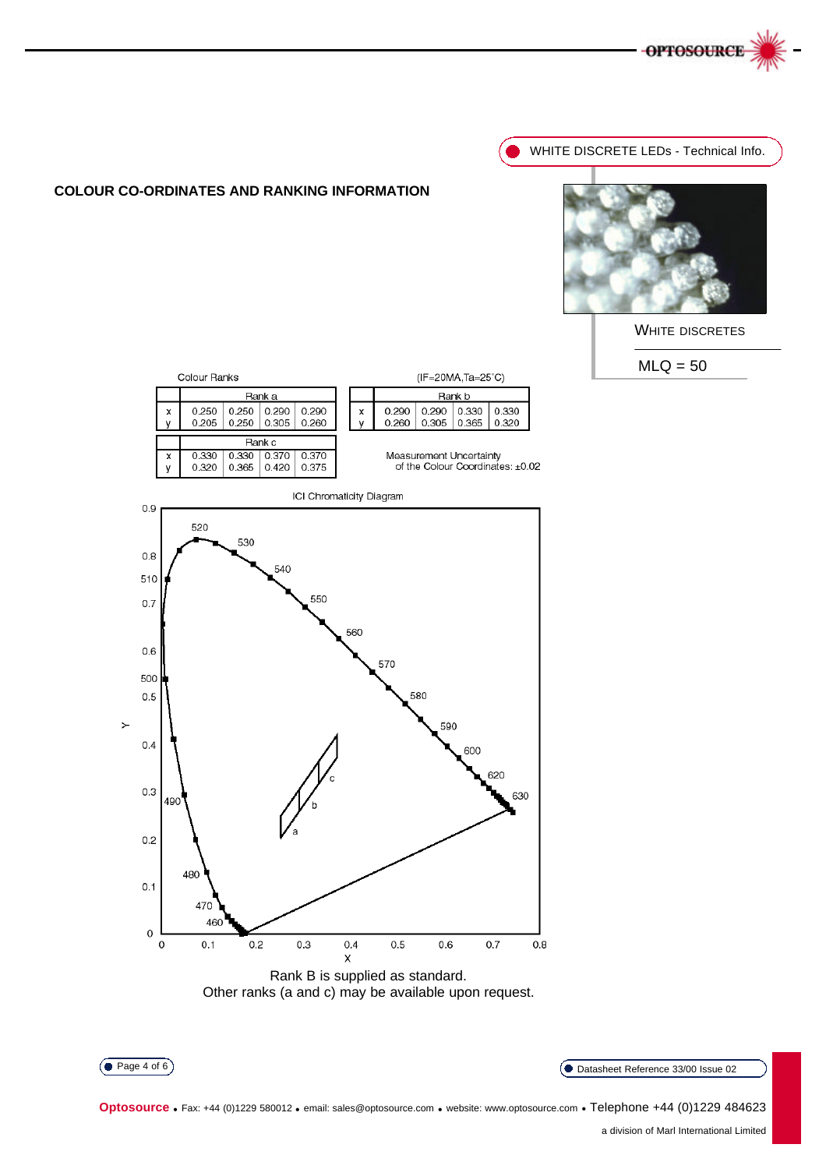



WHITE DISCRETE LEDs - Technical Info.



WHITE DISCRETES

 $MLQ = 50$ 



Datasheet Reference 33/00 Issue 02

 $\left($  Page 4 of 6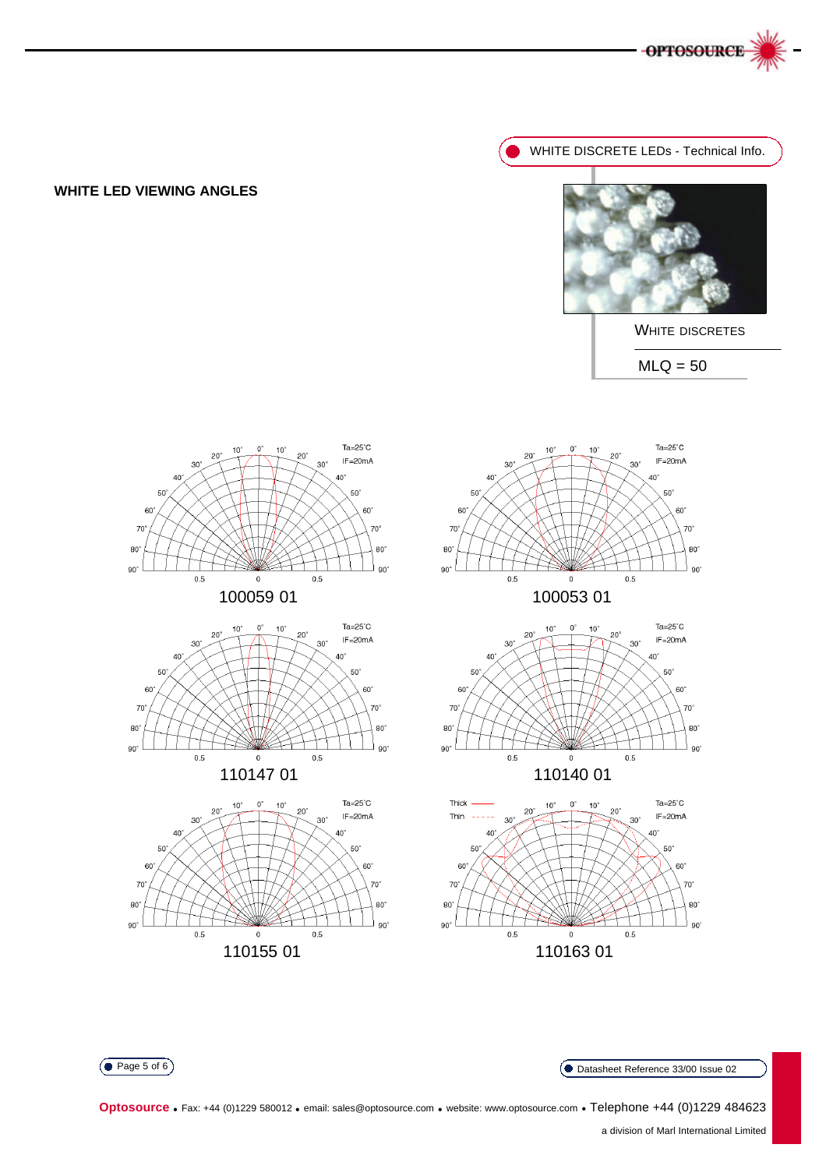

# **WHITE LED VIEWING ANGLES**

WHITE DISCRETE LEDs - Technical Info.



 $MLQ = 50$ WHITE DISCRETES



Datasheet Reference 33/00 Issue 02

 $\left($  Page 5 of 6